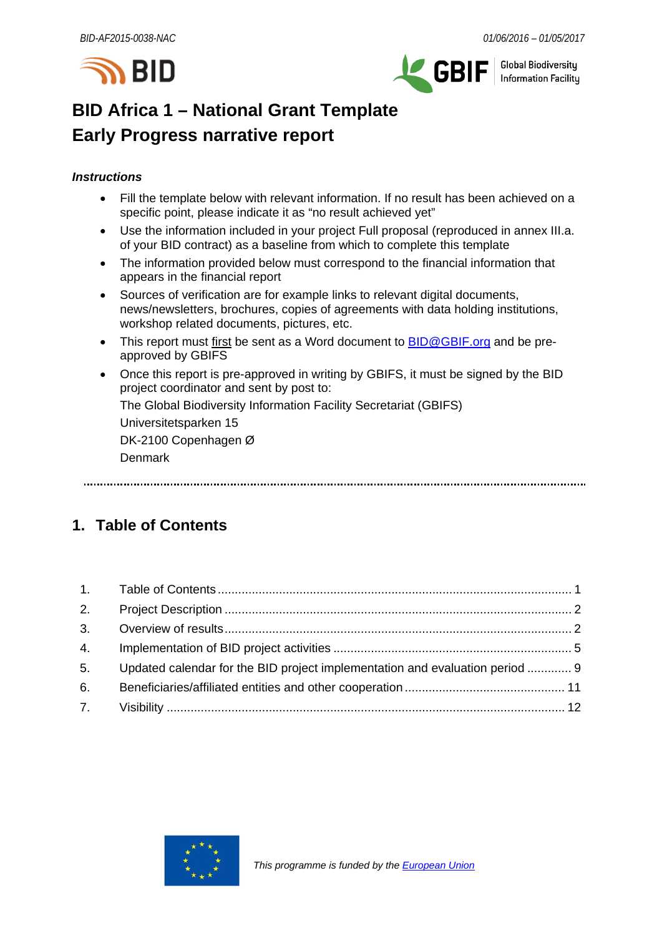



**Global Biodiversity** Information Facility

# **BID Africa 1 – National Grant Template Early Progress narrative report**

# *Instructions*

- Fill the template below with relevant information. If no result has been achieved on a specific point, please indicate it as "no result achieved yet"
- Use the information included in your project Full proposal (reproduced in annex III.a. of your BID contract) as a baseline from which to complete this template
- The information provided below must correspond to the financial information that appears in the financial report
- Sources of verification are for example links to relevant digital documents, news/newsletters, brochures, copies of agreements with data holding institutions, workshop related documents, pictures, etc.
- This report must first be sent as a Word document to **BID@GBIF.org** and be preapproved by GBIFS
- Once this report is pre-approved in writing by GBIFS, it must be signed by the BID project coordinator and sent by post to: The Global Biodiversity Information Facility Secretariat (GBIFS) Universitetsparken 15 DK-2100 Copenhagen Ø Denmark

# <span id="page-0-0"></span>**1. Table of Contents**

| 2.             |                                                                              |  |
|----------------|------------------------------------------------------------------------------|--|
| 3.             |                                                                              |  |
| 4.             |                                                                              |  |
| 5 <sub>1</sub> | Updated calendar for the BID project implementation and evaluation period  9 |  |
| 6.             |                                                                              |  |
|                |                                                                              |  |

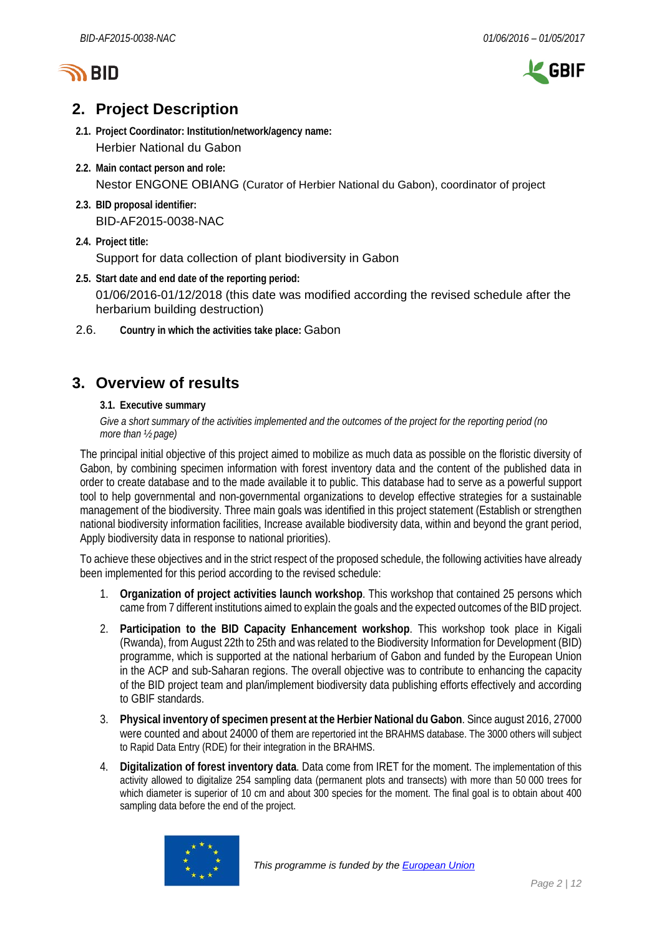



# <span id="page-1-0"></span>**2. Project Description**

- **2.1. Project Coordinator: Institution/network/agency name:** Herbier National du Gabon
- **2.2. Main contact person and role:** Nestor ENGONE OBIANG (Curator of Herbier National du Gabon), coordinator of project
- **2.3. BID proposal identifier:** BID-AF2015-0038-NAC
- **2.4. Project title:**

Support for data collection of plant biodiversity in Gabon

- **2.5. Start date and end date of the reporting period:** 01/06/2016-01/12/2018 (this date was modified according the revised schedule after the herbarium building destruction)
- 2.6. **Country in which the activities take place:** Gabon

# <span id="page-1-1"></span>**3. Overview of results**

**3.1. Executive summary**

*Give a short summary of the activities implemented and the outcomes of the project for the reporting period (no more than ½ page)*

The principal initial objective of this project aimed to mobilize as much data as possible on the floristic diversity of Gabon, by combining specimen information with forest inventory data and the content of the published data in order to create database and to the made available it to public. This database had to serve as a powerful support tool to help governmental and non-governmental organizations to develop effective strategies for a sustainable management of the biodiversity. Three main goals was identified in this project statement (Establish or strengthen national biodiversity information facilities, Increase available biodiversity data, within and beyond the grant period, Apply biodiversity data in response to national priorities).

To achieve these objectives and in the strict respect of the proposed schedule, the following activities have already been implemented for this period according to the revised schedule:

- 1. **Organization of project activities launch workshop**. This workshop that contained 25 persons which came from 7 different institutions aimed to explain the goals and the expected outcomes of the BID project.
- 2. **Participation to the BID Capacity Enhancement workshop**. This workshop took place in Kigali (Rwanda), from August 22th to 25th and was related to the Biodiversity Information for Development (BID) programme, which is supported at the national herbarium of Gabon and funded by the European Union in the ACP and sub-Saharan regions. The overall objective was to contribute to enhancing the capacity of the BID project team and plan/implement biodiversity data publishing efforts effectively and according to GBIF standards.
- 3. **Physical inventory of specimen present at the Herbier National du Gabon**. Since august 2016, 27000 were counted and about 24000 of them are repertoried int the BRAHMS database. The 3000 others will subject to Rapid Data Entry (RDE) for their integration in the BRAHMS.
- 4. **Digitalization of forest inventory data**. Data come from IRET for the moment. The implementation of this activity allowed to digitalize 254 sampling data (permanent plots and transects) with more than 50 000 trees for which diameter is superior of 10 cm and about 300 species for the moment. The final goal is to obtain about 400 sampling data before the end of the project.

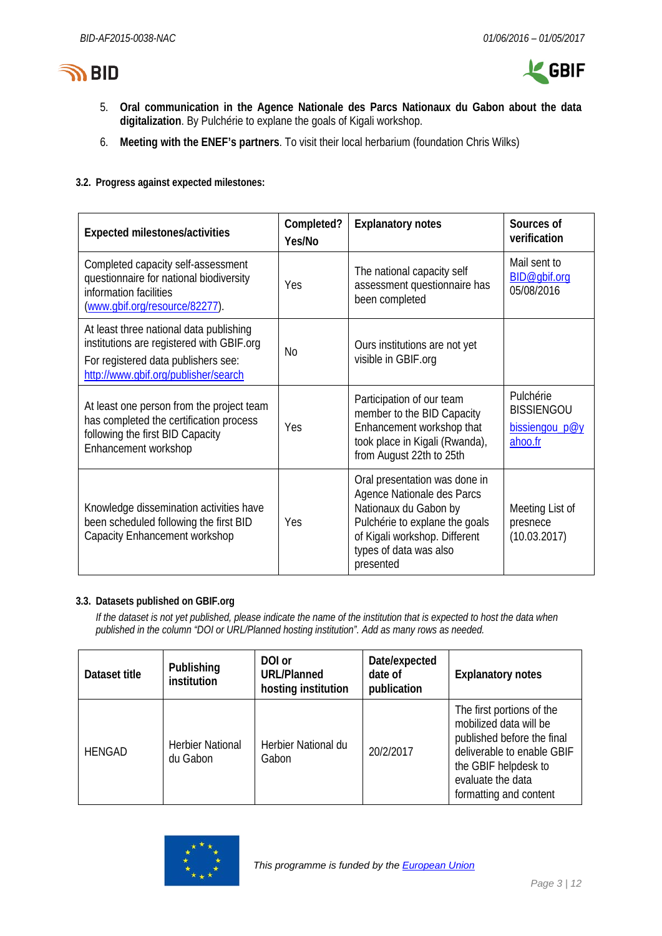



- 5. **Oral communication in the Agence Nationale des Parcs Nationaux du Gabon about the data digitalization**. By Pulchérie to explane the goals of Kigali workshop.
- 6. **Meeting with the ENEF's partners**. To visit their local herbarium (foundation Chris Wilks)
- **3.2. Progress against expected milestones:**

| Expected milestones/activities                                                                                                                                      | Completed?<br>Yes/No | <b>Explanatory notes</b>                                                                                                                                                                       | Sources of<br>verification                                  |
|---------------------------------------------------------------------------------------------------------------------------------------------------------------------|----------------------|------------------------------------------------------------------------------------------------------------------------------------------------------------------------------------------------|-------------------------------------------------------------|
| Completed capacity self-assessment<br>questionnaire for national biodiversity<br>information facilities<br>(www.gbif.org/resource/82277).                           | Yes                  | The national capacity self<br>assessment questionnaire has<br>been completed                                                                                                                   | Mail sent to<br>BID@gbif.org<br>05/08/2016                  |
| At least three national data publishing<br>institutions are registered with GBIF.org<br>For registered data publishers see:<br>http://www.gbif.org/publisher/search | <b>No</b>            | Ours institutions are not yet<br>visible in GBIF.org                                                                                                                                           |                                                             |
| At least one person from the project team<br>has completed the certification process<br>following the first BID Capacity<br>Enhancement workshop                    | Yes                  | Participation of our team<br>member to the BID Capacity<br>Enhancement workshop that<br>took place in Kigali (Rwanda),<br>from August 22th to 25th                                             | Pulchérie<br><b>BISSIENGOU</b><br>bissiengou p@y<br>ahoo.fr |
| Knowledge dissemination activities have<br>been scheduled following the first BID<br>Capacity Enhancement workshop                                                  | Yes                  | Oral presentation was done in<br>Agence Nationale des Parcs<br>Nationaux du Gabon by<br>Pulchérie to explane the goals<br>of Kigali workshop. Different<br>types of data was also<br>presented | Meeting List of<br>presnece<br>(10.03.2017)                 |

# **3.3. Datasets published on GBIF.org**

*If the dataset is not yet published, please indicate the name of the institution that is expected to host the data when published in the column "DOI or URL/Planned hosting institution". Add as many rows as needed.*

| Dataset title | Publishing<br><i>institution</i>    | DOI or<br><b>URL/Planned</b><br>hosting institution | Date/expected<br>date of<br>publication | <b>Explanatory notes</b>                                                                                                                                                               |
|---------------|-------------------------------------|-----------------------------------------------------|-----------------------------------------|----------------------------------------------------------------------------------------------------------------------------------------------------------------------------------------|
| <b>HENGAD</b> | <b>Herbier National</b><br>du Gabon | Herbier National du<br>Gabon                        | 20/2/2017                               | The first portions of the<br>mobilized data will be<br>published before the final<br>deliverable to enable GBIF<br>the GBIF helpdesk to<br>evaluate the data<br>formatting and content |

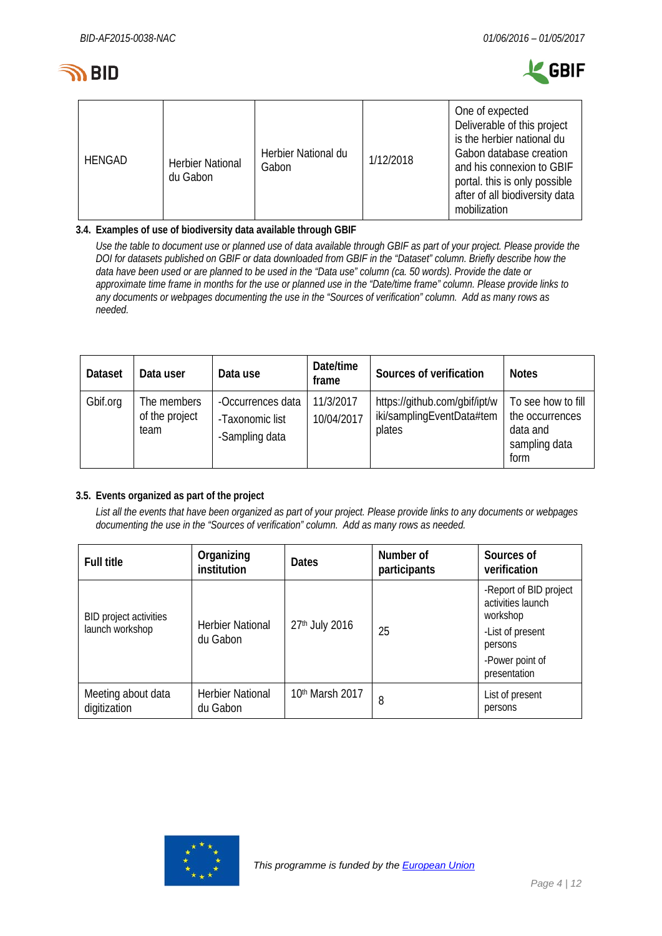



| <b>HENGAD</b> | <b>Herbier National</b><br>du Gabon | Herbier National du<br>Gabon | 1/12/2018 | One of expected<br>Deliverable of this project<br>is the herbier national du<br>Gabon database creation<br>and his connexion to GBIF<br>portal. this is only possible<br>after of all biodiversity data<br>mobilization |
|---------------|-------------------------------------|------------------------------|-----------|-------------------------------------------------------------------------------------------------------------------------------------------------------------------------------------------------------------------------|

# **3.4. Examples of use of biodiversity data available through GBIF**

*Use the table to document use or planned use of data available through GBIF as part of your project. Please provide the DOI for datasets published on GBIF or data downloaded from GBIF in the "Dataset" column. Briefly describe how the data have been used or are planned to be used in the "Data use" column (ca. 50 words). Provide the date or approximate time frame in months for the use or planned use in the "Date/time frame" column. Please provide links to any documents or webpages documenting the use in the "Sources of verification" column. Add as many rows as needed.*

| <b>Dataset</b> | Data user                             | Data use                                               | Date/time<br>frame      | Sources of verification                                              | <b>Notes</b>                                                               |
|----------------|---------------------------------------|--------------------------------------------------------|-------------------------|----------------------------------------------------------------------|----------------------------------------------------------------------------|
| Gbif.org       | The members<br>of the project<br>team | -Occurrences data<br>-Taxonomic list<br>-Sampling data | 11/3/2017<br>10/04/2017 | https://github.com/gbif/ipt/w<br>iki/samplingEventData#tem<br>plates | To see how to fill<br>the occurrences<br>data and<br>sampling data<br>form |

# **3.5. Events organized as part of the project**

*List all the events that have been organized as part of your project. Please provide links to any documents or webpages documenting the use in the "Sources of verification" column. Add as many rows as needed.*

| <b>Full title</b>                         | Organizing<br>institution           | <b>Dates</b>    | Number of<br>participants | Sources of<br>verification                                                                                                |
|-------------------------------------------|-------------------------------------|-----------------|---------------------------|---------------------------------------------------------------------------------------------------------------------------|
| BID project activities<br>launch workshop | <b>Herbier National</b><br>du Gabon | 27th July 2016  | 25                        | -Report of BID project<br>activities launch<br>workshop<br>-List of present<br>persons<br>-Power point of<br>presentation |
| Meeting about data<br>digitization        | <b>Herbier National</b><br>du Gabon | 10th Marsh 2017 | 8                         | List of present<br>persons                                                                                                |

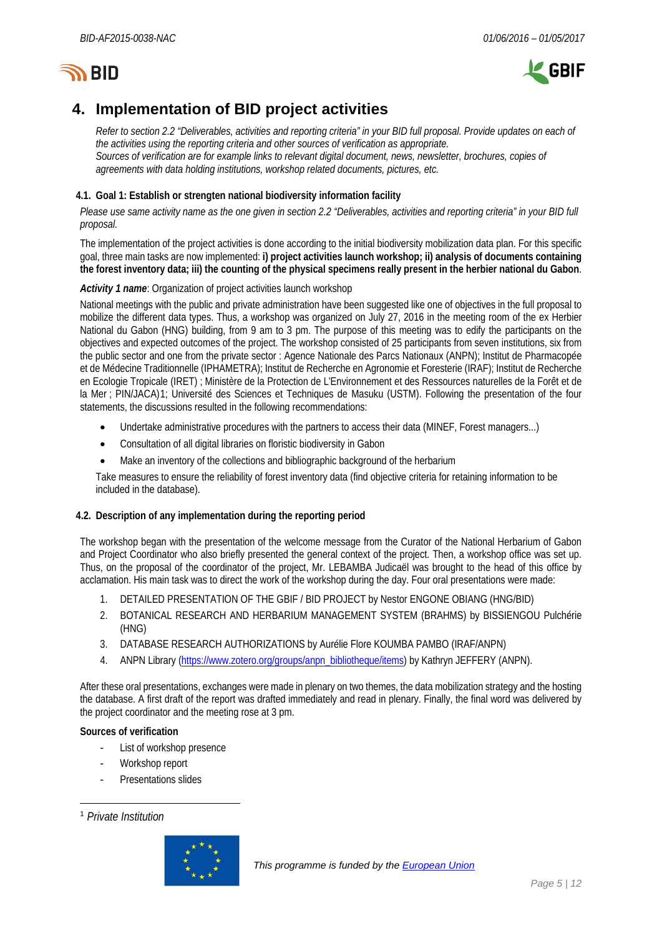# **জ BID**



# <span id="page-4-0"></span>**4. Implementation of BID project activities**

*Refer to section 2.2 "Deliverables, activities and reporting criteria" in your BID full proposal. Provide updates on each of the activities using the reporting criteria and other sources of verification as appropriate. Sources of verification are for example links to relevant digital document, news, newsletter, brochures, copies of agreements with data holding institutions, workshop related documents, pictures, etc.*

# **4.1. Goal 1: Establish or strengten national biodiversity information facility**

*Please use same activity name as the one given in section 2.2 "Deliverables, activities and reporting criteria" in your BID full proposal.*

The implementation of the project activities is done according to the initial biodiversity mobilization data plan. For this specific goal, three main tasks are now implemented: **i) project activities launch workshop; ii) analysis of documents containing the forest inventory data; iii) the counting of the physical specimens really present in the herbier national du Gabon**.

# *Activity 1 name*: Organization of project activities launch workshop

National meetings with the public and private administration have been suggested like one of objectives in the full proposal to mobilize the different data types. Thus, a workshop was organized on July 27, 2016 in the meeting room of the ex Herbier National du Gabon (HNG) building, from 9 am to 3 pm. The purpose of this meeting was to edify the participants on the objectives and expected outcomes of the project. The workshop consisted of 25 participants from seven institutions, six from the public sector and one from the private sector : Agence Nationale des Parcs Nationaux (ANPN); Institut de Pharmacopée et de Médecine Traditionnelle (IPHAMETRA); Institut de Recherche en Agronomie et Foresterie (IRAF); Institut de Recherche en Ecologie Tropicale (IRET) ; Ministère de la Protection de L'Environnement et des Ressources naturelles de la Forêt et de la Mer ; PIN/JACA)[1;](#page-4-1) Université des Sciences et Techniques de Masuku (USTM). Following the presentation of the four statements, the discussions resulted in the following recommendations:

- Undertake administrative procedures with the partners to access their data (MINEF, Forest managers...)
- Consultation of all digital libraries on floristic biodiversity in Gabon
- Make an inventory of the collections and bibliographic background of the herbarium

Take measures to ensure the reliability of forest inventory data (find objective criteria for retaining information to be included in the database).

# **4.2. Description of any implementation during the reporting period**

The workshop began with the presentation of the welcome message from the Curator of the National Herbarium of Gabon and Project Coordinator who also briefly presented the general context of the project. Then, a workshop office was set up. Thus, on the proposal of the coordinator of the project, Mr. LEBAMBA Judicaël was brought to the head of this office by acclamation. His main task was to direct the work of the workshop during the day. Four oral presentations were made:

- 1. DETAILED PRESENTATION OF THE GBIF / BID PROJECT by Nestor ENGONE OBIANG (HNG/BID)
- 2. BOTANICAL RESEARCH AND HERBARIUM MANAGEMENT SYSTEM (BRAHMS) by BISSIENGOU Pulchérie (HNG)
- 3. DATABASE RESEARCH AUTHORIZATIONS by Aurélie Flore KOUMBA PAMBO (IRAF/ANPN)
- 4. ANPN Library [\(https://www.zotero.org/groups/anpn\\_bibliotheque/items\)](https://www.zotero.org/groups/anpn_bibliotheque/items) by Kathryn JEFFERY (ANPN).

After these oral presentations, exchanges were made in plenary on two themes, the data mobilization strategy and the hosting the database. A first draft of the report was drafted immediately and read in plenary. Finally, the final word was delivered by the project coordinator and the meeting rose at 3 pm.

- List of workshop presence
- Workshop report
- Presentations slides

<span id="page-4-1"></span> <sup>1</sup> *Private Institution*

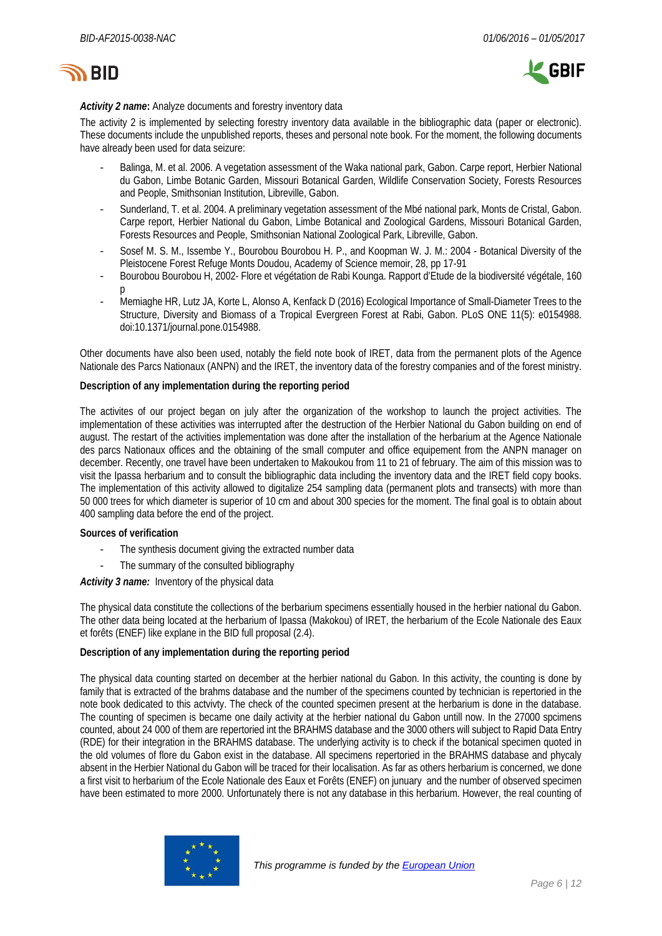



### *Activity 2 name***:** Analyze documents and forestry inventory data

The activity 2 is implemented by selecting forestry inventory data available in the bibliographic data (paper or electronic). These documents include the unpublished reports, theses and personal note book. For the moment, the following documents have already been used for data seizure:

- Balinga, M. et al. 2006. A vegetation assessment of the Waka national park, Gabon. Carpe report, Herbier National du Gabon, Limbe Botanic Garden, Missouri Botanical Garden, Wildlife Conservation Society, Forests Resources and People, Smithsonian Institution, Libreville, Gabon.
- Sunderland, T. et al. 2004. A preliminary vegetation assessment of the Mbé national park, Monts de Cristal, Gabon. Carpe report, Herbier National du Gabon, Limbe Botanical and Zoological Gardens, Missouri Botanical Garden, Forests Resources and People, Smithsonian National Zoological Park, Libreville, Gabon.
- Sosef M. S. M., Issembe Y., Bourobou Bourobou H. P., and Koopman W. J. M.: 2004 Botanical Diversity of the Pleistocene Forest Refuge Monts Doudou, Academy of Science memoir, 28, pp 17-91
- Bourobou Bourobou H, 2002- Flore et végétation de Rabi Kounga. Rapport d'Etude de la biodiversité végétale, 160 p
- Memiaghe HR, Lutz JA, Korte L, Alonso A, Kenfack D (2016) Ecological Importance of Small-Diameter Trees to the Structure, Diversity and Biomass of a Tropical Evergreen Forest at Rabi, Gabon. PLoS ONE 11(5): e0154988. doi:10.1371/journal.pone.0154988.

Other documents have also been used, notably the field note book of IRET, data from the permanent plots of the Agence Nationale des Parcs Nationaux (ANPN) and the IRET, the inventory data of the forestry companies and of the forest ministry.

#### **Description of any implementation during the reporting period**

The activites of our project began on july after the organization of the workshop to launch the project activities. The implementation of these activities was interrupted after the destruction of the Herbier National du Gabon building on end of august. The restart of the activities implementation was done after the installation of the herbarium at the Agence Nationale des parcs Nationaux offices and the obtaining of the small computer and office equipement from the ANPN manager on december. Recently, one travel have been undertaken to Makoukou from 11 to 21 of february. The aim of this mission was to visit the Ipassa herbarium and to consult the bibliographic data including the inventory data and the IRET field copy books. The implementation of this activity allowed to digitalize 254 sampling data (permanent plots and transects) with more than 50 000 trees for which diameter is superior of 10 cm and about 300 species for the moment. The final goal is to obtain about 400 sampling data before the end of the project.

#### **Sources of verification**

- The synthesis document giving the extracted number data
- The summary of the consulted bibliography

#### *Activity 3 name:* Inventory of the physical data

The physical data constitute the collections of the berbarium specimens essentially housed in the herbier national du Gabon. The other data being located at the herbarium of Ipassa (Makokou) of IRET, the herbarium of the Ecole Nationale des Eaux et forêts (ENEF) like explane in the BID full proposal (2.4).

#### **Description of any implementation during the reporting period**

The physical data counting started on december at the herbier national du Gabon. In this activity, the counting is done by family that is extracted of the brahms database and the number of the specimens counted by technician is repertoried in the note book dedicated to this actvivty. The check of the counted specimen present at the herbarium is done in the database. The counting of specimen is became one daily activity at the herbier national du Gabon untill now. In the 27000 spcimens counted, about 24 000 of them are repertoried int the BRAHMS database and the 3000 others will subject to Rapid Data Entry (RDE) for their integration in the BRAHMS database. The underlying activity is to check if the botanical specimen quoted in the old volumes of flore du Gabon exist in the database. All specimens repertoried in the BRAHMS database and phycaly absent in the Herbier National du Gabon will be traced for their localisation. As far as others herbarium is concerned, we done a first visit to herbarium of the Ecole Nationale des Eaux et Forêts (ENEF) on junuary and the number of observed specimen have been estimated to more 2000. Unfortunately there is not any database in this herbarium. However, the real counting of

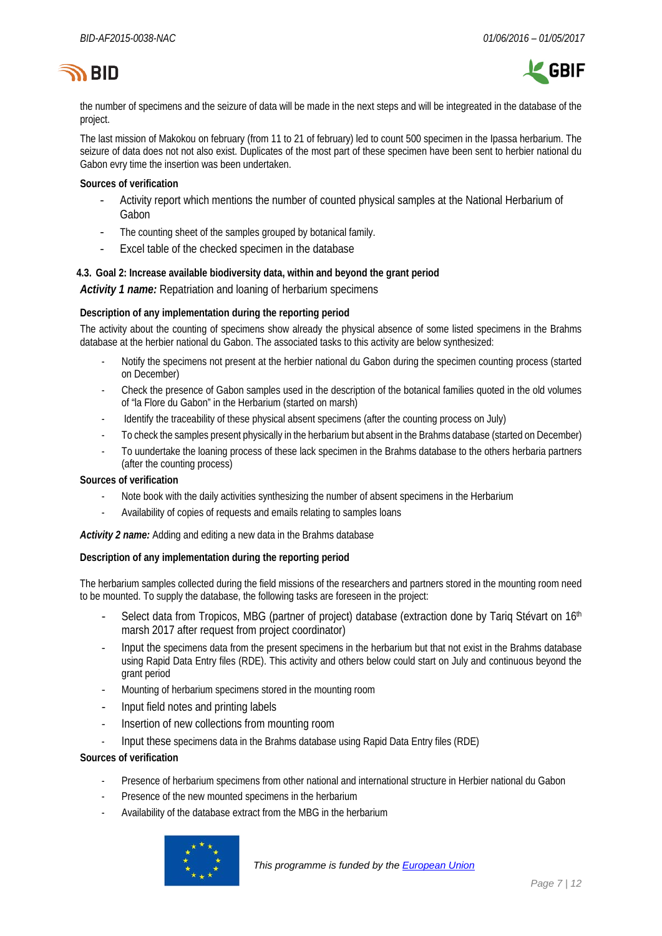



the number of specimens and the seizure of data will be made in the next steps and will be integreated in the database of the project.

The last mission of Makokou on february (from 11 to 21 of february) led to count 500 specimen in the Ipassa herbarium. The seizure of data does not not also exist. Duplicates of the most part of these specimen have been sent to herbier national du Gabon evry time the insertion was been undertaken.

### **Sources of verification**

- Activity report which mentions the number of counted physical samples at the National Herbarium of Gabon
- The counting sheet of the samples grouped by botanical family.
- Excel table of the checked specimen in the database

### **4.3. Goal 2: Increase available biodiversity data, within and beyond the grant period**

*Activity 1 name:* Repatriation and loaning of herbarium specimens

#### **Description of any implementation during the reporting period**

The activity about the counting of specimens show already the physical absence of some listed specimens in the Brahms database at the herbier national du Gabon. The associated tasks to this activity are below synthesized:

- Notify the specimens not present at the herbier national du Gabon during the specimen counting process (started on December)
- Check the presence of Gabon samples used in the description of the botanical families quoted in the old volumes of "la Flore du Gabon" in the Herbarium (started on marsh)
- Identify the traceability of these physical absent specimens (after the counting process on July)
- To check the samples present physically in the herbarium but absent in the Brahms database (started on December)
- To uundertake the loaning process of these lack specimen in the Brahms database to the others herbaria partners (after the counting process)

#### **Sources of verification**

- Note book with the daily activities synthesizing the number of absent specimens in the Herbarium
- Availability of copies of requests and emails relating to samples loans

#### *Activity 2 name:* Adding and editing a new data in the Brahms database

#### **Description of any implementation during the reporting period**

The herbarium samples collected during the field missions of the researchers and partners stored in the mounting room need to be mounted. To supply the database, the following tasks are foreseen in the project:

- Select data from Tropicos, MBG (partner of project) database (extraction done by Tariq Stévart on 16<sup>th</sup> marsh 2017 after request from project coordinator)
- Input the specimens data from the present specimens in the herbarium but that not exist in the Brahms database using Rapid Data Entry files (RDE). This activity and others below could start on July and continuous beyond the grant period
- Mounting of herbarium specimens stored in the mounting room
- Input field notes and printing labels
- Insertion of new collections from mounting room
- Input these specimens data in the Brahms database using Rapid Data Entry files (RDE)

- Presence of herbarium specimens from other national and international structure in Herbier national du Gabon
- Presence of the new mounted specimens in the herbarium
- Availability of the database extract from the MBG in the herbarium

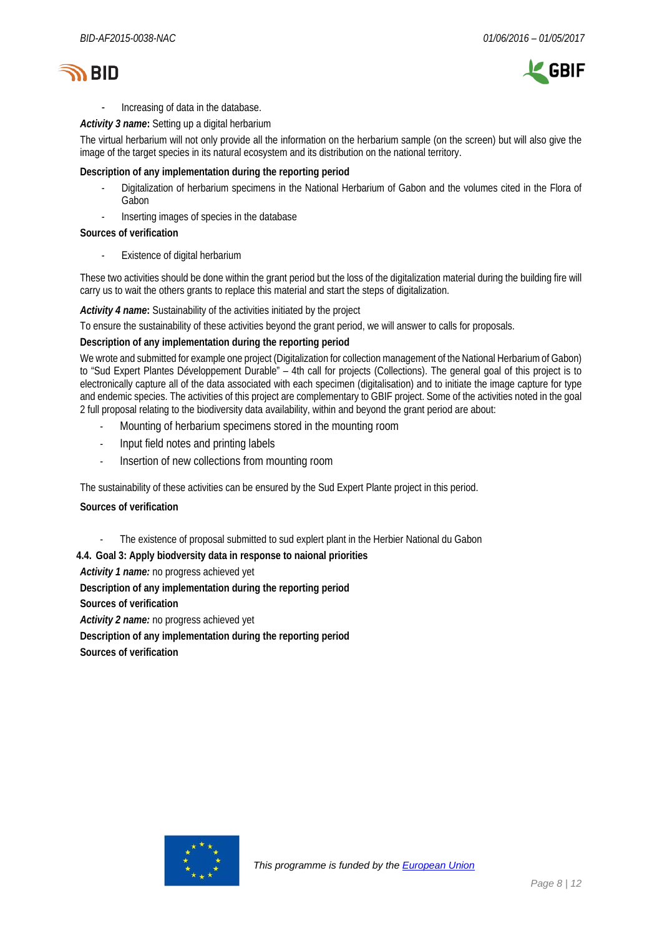



- Increasing of data in the database.

*Activity 3 name***:** Setting up a digital herbarium

The virtual herbarium will not only provide all the information on the herbarium sample (on the screen) but will also give the image of the target species in its natural ecosystem and its distribution on the national territory.

### **Description of any implementation during the reporting period**

- Digitalization of herbarium specimens in the National Herbarium of Gabon and the volumes cited in the Flora of Gabon
- Inserting images of species in the database

#### **Sources of verification**

Existence of digital herbarium

These two activities should be done within the grant period but the loss of the digitalization material during the building fire will carry us to wait the others grants to replace this material and start the steps of digitalization.

#### *Activity 4 name***:** Sustainability of the activities initiated by the project

To ensure the sustainability of these activities beyond the grant period, we will answer to calls for proposals.

#### **Description of any implementation during the reporting period**

We wrote and submitted for example one project (Digitalization for collection management of the National Herbarium of Gabon) to "Sud Expert Plantes Développement Durable" – 4th call for projects (Collections). The general goal of this project is to electronically capture all of the data associated with each specimen (digitalisation) and to initiate the image capture for type and endemic species. The activities of this project are complementary to GBIF project. Some of the activities noted in the goal 2 full proposal relating to the biodiversity data availability, within and beyond the grant period are about:

- Mounting of herbarium specimens stored in the mounting room
- Input field notes and printing labels
- Insertion of new collections from mounting room

The sustainability of these activities can be ensured by the Sud Expert Plante project in this period.

#### **Sources of verification**

The existence of proposal submitted to sud explert plant in the Herbier National du Gabon

#### **4.4. Goal 3: Apply biodversity data in response to naional priorities**

*Activity 1 name:* no progress achieved yet

**Description of any implementation during the reporting period**

**Sources of verification**

*Activity 2 name:* no progress achieved yet

**Description of any implementation during the reporting period**

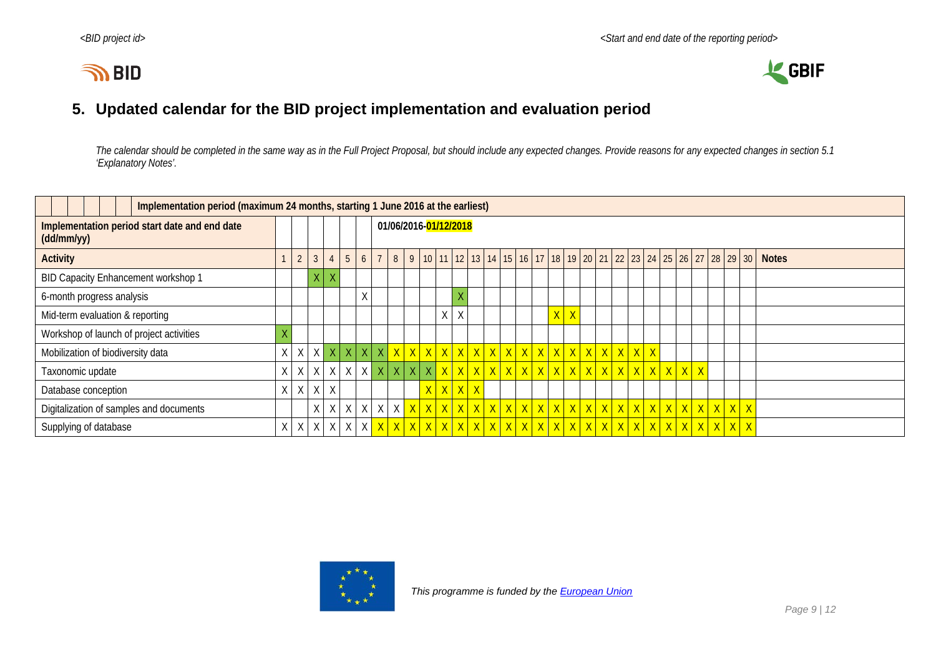# **IN BID**



# **5. Updated calendar for the BID project implementation and evaluation period**

*The calendar should be completed in the same way as in the Full Project Proposal, but should include any expected changes. Provide reasons for any expected changes in section 5.1 'Explanatory Notes'.*

<span id="page-8-0"></span>

| Implementation period (maximum 24 months, starting 1 June 2016 at the earliest) |   |                |                 |   |                         |                |             |                       |            |  |          |         |  |  |  |  |  |                |              |  |  |  |  |  |  |                                                                                                                |
|---------------------------------------------------------------------------------|---|----------------|-----------------|---|-------------------------|----------------|-------------|-----------------------|------------|--|----------|---------|--|--|--|--|--|----------------|--------------|--|--|--|--|--|--|----------------------------------------------------------------------------------------------------------------|
| Implementation period start date and end date<br>(dd/mm/yy)                     |   |                |                 |   |                         |                |             | 01/06/2016-01/12/2018 |            |  |          |         |  |  |  |  |  |                |              |  |  |  |  |  |  |                                                                                                                |
| <b>Activity</b>                                                                 |   | $\overline{2}$ |                 |   | 5                       | 6 <sup>1</sup> | $7^{\circ}$ |                       | $8 \mid 9$ |  |          |         |  |  |  |  |  |                |              |  |  |  |  |  |  | 10   11   12   13   14   15   16   17   18   19   20   21   22   23   24   25   26   27   28   29   30   Notes |
| BID Capacity Enhancement workshop 1                                             |   |                | $\times$ $\mid$ |   |                         |                |             |                       |            |  |          |         |  |  |  |  |  |                |              |  |  |  |  |  |  |                                                                                                                |
| 6-month progress analysis                                                       |   |                |                 |   |                         | χ              |             |                       |            |  |          |         |  |  |  |  |  |                |              |  |  |  |  |  |  |                                                                                                                |
| Mid-term evaluation & reporting                                                 |   |                |                 |   |                         |                |             |                       |            |  | $X \mid$ | $\sf X$ |  |  |  |  |  | $\overline{X}$ | $\mathsf{X}$ |  |  |  |  |  |  |                                                                                                                |
| Workshop of launch of project activities                                        |   |                |                 |   |                         |                |             |                       |            |  |          |         |  |  |  |  |  |                |              |  |  |  |  |  |  |                                                                                                                |
| Mobilization of biodiversity data                                               | Χ | X              |                 |   | $X$ $X$ $X$ $X$ $X$ $X$ |                |             |                       |            |  |          |         |  |  |  |  |  |                |              |  |  |  |  |  |  |                                                                                                                |
| Taxonomic update                                                                | Χ | $X \mid$       | $\times$        |   |                         |                |             |                       |            |  |          |         |  |  |  |  |  |                |              |  |  |  |  |  |  |                                                                                                                |
| Database conception                                                             | X | X              | X               | X |                         |                |             |                       |            |  |          | x x x x |  |  |  |  |  |                |              |  |  |  |  |  |  |                                                                                                                |
| Digitalization of samples and documents                                         |   |                | Χ               |   | $X \times$              | X              |             |                       |            |  |          |         |  |  |  |  |  |                |              |  |  |  |  |  |  |                                                                                                                |
| Supplying of database                                                           | Χ | X              | X               |   | $X$ $X$                 |                |             |                       |            |  |          |         |  |  |  |  |  |                |              |  |  |  |  |  |  |                                                                                                                |

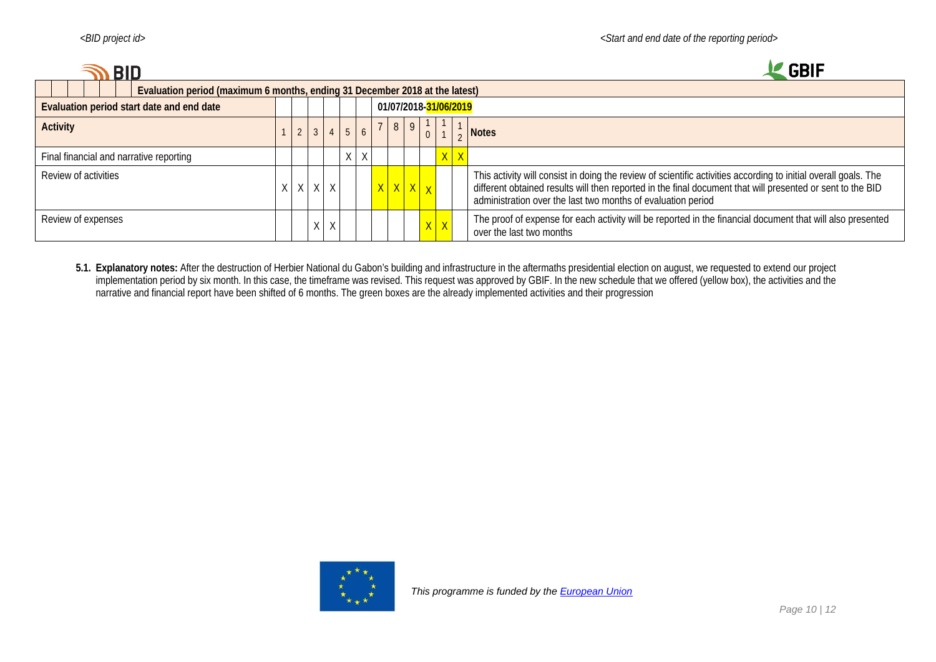| ם RID                                                                       |  |                 |                |              |                |   |                 |                |                                     |  |         |         | <b>GBIF</b>                                                                                                                                                                                                                                                                                   |
|-----------------------------------------------------------------------------|--|-----------------|----------------|--------------|----------------|---|-----------------|----------------|-------------------------------------|--|---------|---------|-----------------------------------------------------------------------------------------------------------------------------------------------------------------------------------------------------------------------------------------------------------------------------------------------|
| Evaluation period (maximum 6 months, ending 31 December 2018 at the latest) |  |                 |                |              |                |   |                 |                |                                     |  |         |         |                                                                                                                                                                                                                                                                                               |
| Evaluation period start date and end date                                   |  |                 |                |              |                |   |                 |                | 01/07/2018- <mark>31/06/2019</mark> |  |         |         |                                                                                                                                                                                                                                                                                               |
| <b>Activity</b>                                                             |  | $2\overline{ }$ | 3 <sup>1</sup> |              |                |   |                 | 8 <sup>1</sup> | 9                                   |  |         |         | <b>Notes</b>                                                                                                                                                                                                                                                                                  |
| Final financial and narrative reporting                                     |  |                 |                |              | V<br>$\lambda$ | X |                 |                |                                     |  |         | $X$ $X$ |                                                                                                                                                                                                                                                                                               |
| Review of activities                                                        |  | X               | X              | $\mathsf{X}$ |                |   | $X$ $X$ $X$ $X$ |                |                                     |  |         |         | This activity will consist in doing the review of scientific activities according to initial overall goals. The<br>different obtained results will then reported in the final document that will presented or sent to the BID<br>administration over the last two months of evaluation period |
| Review of expenses                                                          |  |                 | X              | Χ            |                |   |                 |                |                                     |  | $X$ $X$ |         | The proof of expense for each activity will be reported in the financial document that will also presented<br>over the last two months                                                                                                                                                        |

**5.1. Explanatory notes:** After the destruction of Herbier National du Gabon's building and infrastructure in the aftermaths presidential election on august, we requested to extend our project implementation period by six month. In this case, the timeframe was revised. This request was approved by GBIF. In the new schedule that we offered (yellow box), the activities and the narrative and financial report have been shifted of 6 months. The green boxes are the already implemented activities and their progression

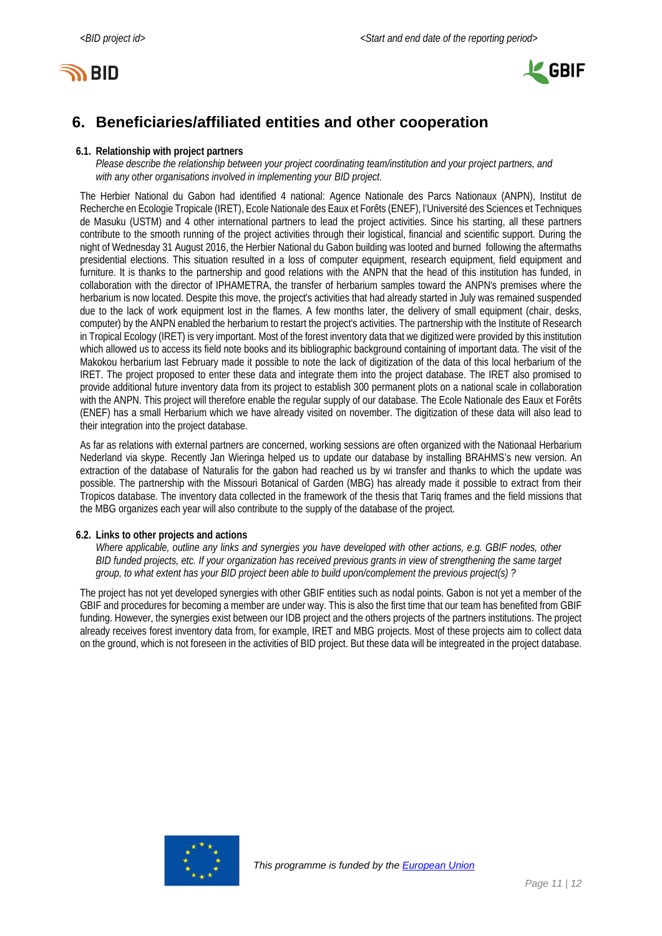



# <span id="page-10-0"></span>**6. Beneficiaries/affiliated entities and other cooperation**

### **6.1. Relationship with project partners**

*Please describe the relationship between your project coordinating team/institution and your project partners, and with any other organisations involved in implementing your BID project.*

The Herbier National du Gabon had identified 4 national: Agence Nationale des Parcs Nationaux (ANPN), Institut de Recherche en Ecologie Tropicale (IRET), Ecole Nationale des Eaux et Forêts (ENEF), l'Université des Sciences et Techniques de Masuku (USTM) and 4 other international partners to lead the project activities. Since his starting, all these partners contribute to the smooth running of the project activities through their logistical, financial and scientific support. During the night of Wednesday 31 August 2016, the Herbier National du Gabon building was looted and burned following the aftermaths presidential elections. This situation resulted in a loss of computer equipment, research equipment, field equipment and furniture. It is thanks to the partnership and good relations with the ANPN that the head of this institution has funded, in collaboration with the director of IPHAMETRA, the transfer of herbarium samples toward the ANPN's premises where the herbarium is now located. Despite this move, the project's activities that had already started in July was remained suspended due to the lack of work equipment lost in the flames. A few months later, the delivery of small equipment (chair, desks, computer) by the ANPN enabled the herbarium to restart the project's activities. The partnership with the Institute of Research in Tropical Ecology (IRET) is very important. Most of the forest inventory data that we digitized were provided by this institution which allowed us to access its field note books and its bibliographic background containing of important data. The visit of the Makokou herbarium last February made it possible to note the lack of digitization of the data of this local herbarium of the IRET. The project proposed to enter these data and integrate them into the project database. The IRET also promised to provide additional future inventory data from its project to establish 300 permanent plots on a national scale in collaboration with the ANPN. This project will therefore enable the regular supply of our database. The Ecole Nationale des Eaux et Forêts (ENEF) has a small Herbarium which we have already visited on november. The digitization of these data will also lead to their integration into the project database.

As far as relations with external partners are concerned, working sessions are often organized with the Nationaal Herbarium Nederland via skype. Recently Jan Wieringa helped us to update our database by installing BRAHMS's new version. An extraction of the database of Naturalis for the gabon had reached us by wi transfer and thanks to which the update was possible. The partnership with the Missouri Botanical of Garden (MBG) has already made it possible to extract from their Tropicos database. The inventory data collected in the framework of the thesis that Tariq frames and the field missions that the MBG organizes each year will also contribute to the supply of the database of the project.

# **6.2. Links to other projects and actions**

*Where applicable, outline any links and synergies you have developed with other actions, e.g. GBIF nodes, other BID funded projects, etc. If your organization has received previous grants in view of strengthening the same target group, to what extent has your BID project been able to build upon/complement the previous project(s) ?*

<span id="page-10-1"></span>The project has not yet developed synergies with other GBIF entities such as nodal points. Gabon is not yet a member of the GBIF and procedures for becoming a member are under way. This is also the first time that our team has benefited from GBIF funding. However, the synergies exist between our IDB project and the others projects of the partners institutions. The project already receives forest inventory data from, for example, IRET and MBG projects. Most of these projects aim to collect data on the ground, which is not foreseen in the activities of BID project. But these data will be integreated in the project database.